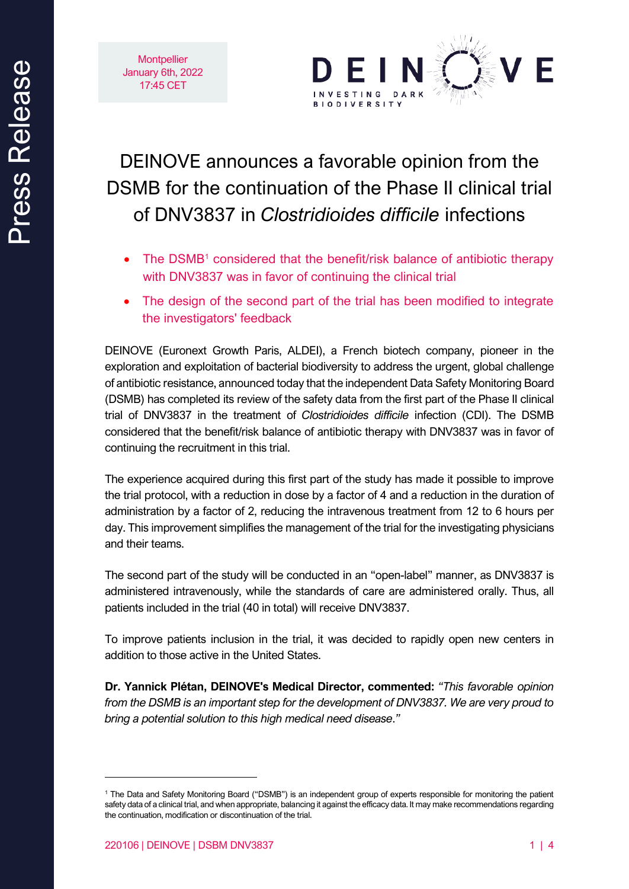



# DEINOVE announces a favorable opinion from the DSMB for the continuation of the Phase II clinical trial of DNV3837 in *Clostridioides difficile* infections

- The DSMB<sup>1</sup> considered that the benefit/risk balance of antibiotic therapy with DNV3837 was in favor of continuing the clinical trial
- The design of the second part of the trial has been modified to integrate the investigators' feedback

DEINOVE (Euronext Growth Paris, ALDEI), a French biotech company, pioneer in the exploration and exploitation of bacterial biodiversity to address the urgent, global challenge of antibiotic resistance, announced today that the independent Data Safety Monitoring Board (DSMB) has completed its review of the safety data from the first part of the Phase II clinical trial of DNV3837 in the treatment of *Clostridioides difficile* infection (CDI). The DSMB considered that the benefit/risk balance of antibiotic therapy with DNV3837 was in favor of continuing the recruitment in this trial.

The experience acquired during this first part of the study has made it possible to improve the trial protocol, with a reduction in dose by a factor of 4 and a reduction in the duration of administration by a factor of 2, reducing the intravenous treatment from 12 to 6 hours per day. This improvement simplifies the management of the trial for the investigating physicians and their teams.

The second part of the study will be conducted in an "open-label" manner, as DNV3837 is administered intravenously, while the standards of care are administered orally. Thus, all patients included in the trial (40 in total) will receive DNV3837.

To improve patients inclusion in the trial, it was decided to rapidly open new centers in addition to those active in the United States.

**Dr. Yannick Plétan, DEINOVE's Medical Director, commented:** *"This favorable opinion from the DSMB is an important step for the development of DNV3837. We are very proud to bring a potential solution to this high medical need disease*.*"*

<sup>1</sup> The Data and Safety Monitoring Board ("DSMB") is an independent group of experts responsible for monitoring the patient safety data of a clinical trial, and when appropriate, balancing it against the efficacy data. It may make recommendations regarding the continuation, modification or discontinuation of the trial.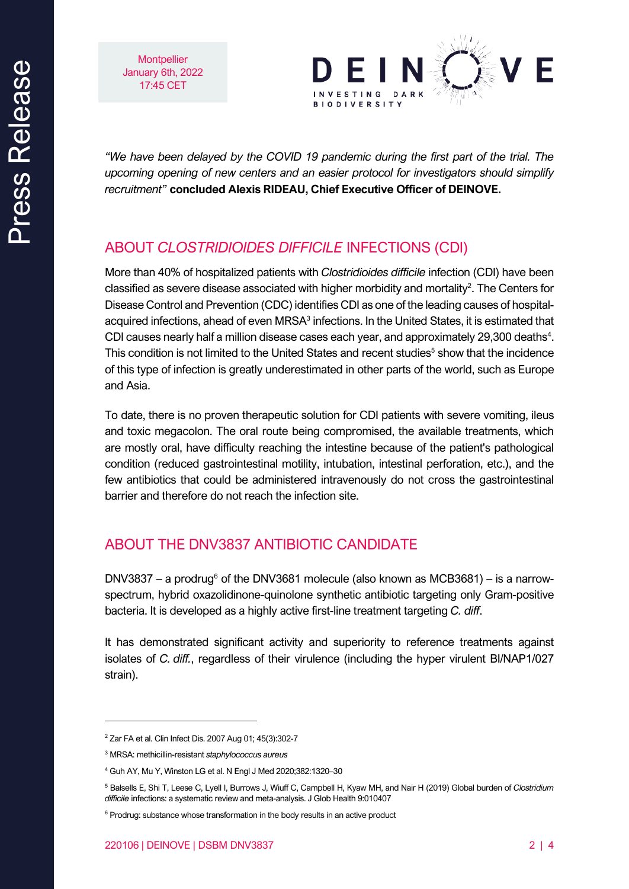**Montpellier** January 6th, 2022 17:45 CET



*"We have been delayed by the COVID 19 pandemic during the first part of the trial. The upcoming opening of new centers and an easier protocol for investigators should simplify recruitment"* **concluded Alexis RIDEAU, Chief Executive Officer of DEINOVE.**

## ABOUT *CLOSTRIDIOIDES DIFFICILE* INFECTIONS (CDI)

More than 40% of hospitalized patients with *Clostridioides difficile* infection (CDI) have been classified as severe disease associated with higher morbidity and mortality<sup>2</sup>. The Centers for Disease Control and Prevention (CDC) identifies CDI as one of the leading causes of hospitalacquired infections, ahead of even MRSA $3$  infections. In the United States, it is estimated that CDI causes nearly half a million disease cases each year, and approximately 29,300 deaths<sup>4</sup>. This condition is not limited to the United States and recent studies<sup>5</sup> show that the incidence of this type of infection is greatly underestimated in other parts of the world, such as Europe and Asia.

To date, there is no proven therapeutic solution for CDI patients with severe vomiting, ileus and toxic megacolon. The oral route being compromised, the available treatments, which are mostly oral, have difficulty reaching the intestine because of the patient's pathological condition (reduced gastrointestinal motility, intubation, intestinal perforation, etc.), and the few antibiotics that could be administered intravenously do not cross the gastrointestinal barrier and therefore do not reach the infection site.

## ABOUT THE DNV3837 ANTIBIOTIC CANDIDATE

DNV3837 – a prodrug<sup>6</sup> of the DNV3681 molecule (also known as MCB3681) – is a narrowspectrum, hybrid oxazolidinone-quinolone synthetic antibiotic targeting only Gram-positive bacteria. It is developed as a highly active first-line treatment targeting *C. diff*.

It has demonstrated significant activity and superiority to reference treatments against isolates of *C. diff.*, regardless of their virulence (including the hyper virulent BI/NAP1/027 strain).

<sup>2</sup> Zar FA et al. Clin Infect Dis. 2007 Aug 01; 45(3):302-7

<sup>3</sup> MRSA: methicillin-resistant *staphylococcus aureus*

<sup>4</sup> Guh AY, Mu Y, Winston LG et al. N Engl J Med 2020;382:1320–30

<sup>5</sup> Balsells E, Shi T, Leese C, Lyell I, Burrows J, Wiuff C, Campbell H, Kyaw MH, and Nair H (2019) Global burden of *Clostridium difficile* infections: a systematic review and meta-analysis. J Glob Health 9:010407

<sup>&</sup>lt;sup>6</sup> Prodrug: substance whose transformation in the body results in an active product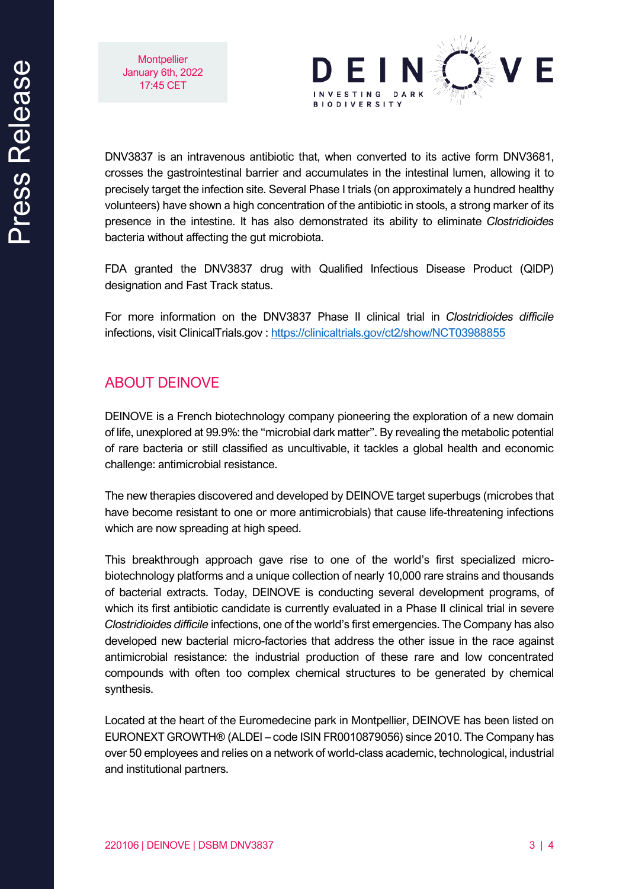**Montpellier** January 6th, 2022 17:45 CET



DNV3837 is an intravenous antibiotic that, when converted to its active form DNV3681, crosses the gastrointestinal barrier and accumulates in the intestinal lumen, allowing it to precisely target the infection site. Several Phase I trials (on approximately a hundred healthy volunteers) have shown a high concentration of the antibiotic in stools, a strong marker of its presence in the intestine. It has also demonstrated its ability to eliminate *Clostridioides* bacteria without affecting the gut microbiota.

FDA granted the DNV3837 drug with Qualified Infectious Disease Product (QIDP) designation and Fast Track status.

For more information on the DNV3837 Phase II clinical trial in *Clostridioides difficile* infections, visit ClinicalTrials.gov :<https://clinicaltrials.gov/ct2/show/NCT03988855>

## ABOUT DEINOVE

DEINOVE is a French biotechnology company pioneering the exploration of a new domain of life, unexplored at 99.9%: the "microbial dark matter". By revealing the metabolic potential of rare bacteria or still classified as uncultivable, it tackles a global health and economic challenge: antimicrobial resistance.

The new therapies discovered and developed by DEINOVE target superbugs (microbes that have become resistant to one or more antimicrobials) that cause life-threatening infections which are now spreading at high speed.

This breakthrough approach gave rise to one of the world's first specialized microbiotechnology platforms and a unique collection of nearly 10,000 rare strains and thousands of bacterial extracts. Today, DEINOVE is conducting several development programs, of which its first antibiotic candidate is currently evaluated in a Phase II clinical trial in severe *Clostridioides difficile* infections, one of the world's first emergencies. The Company has also developed new bacterial micro-factories that address the other issue in the race against antimicrobial resistance: the industrial production of these rare and low concentrated compounds with often too complex chemical structures to be generated by chemical synthesis.

Located at the heart of the Euromedecine park in Montpellier, DEINOVE has been listed on EURONEXT GROWTH® (ALDEI – code ISIN FR0010879056) since 2010. The Company has over 50 employees and relies on a network of world-class academic, technological, industrial and institutional partners.